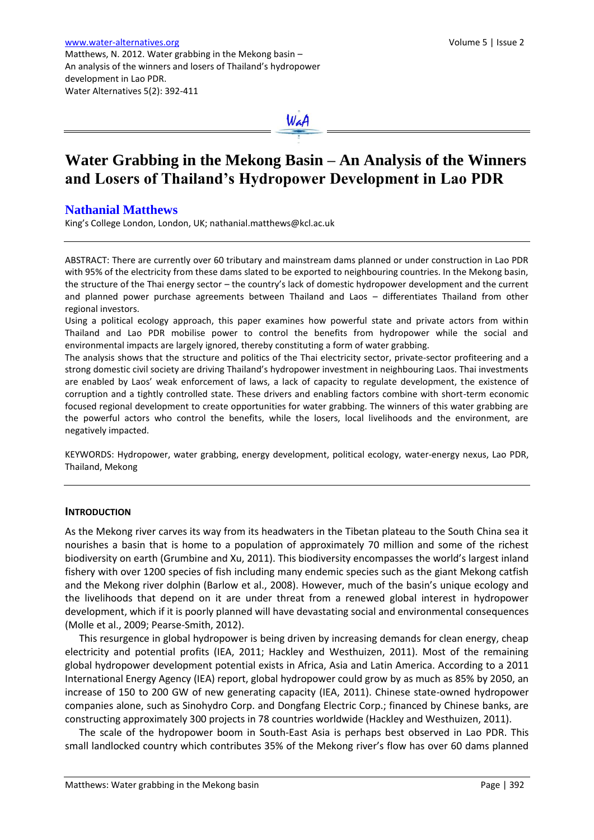

# **Water Grabbing in the Mekong Basin – An Analysis of the Winners and Losers of Thailand's Hydropower Development in Lao PDR**

# **Nathanial Matthews**

King's College London, London, UK; nathanial.matthews@kcl.ac.uk

ABSTRACT: There are currently over 60 tributary and mainstream dams planned or under construction in Lao PDR with 95% of the electricity from these dams slated to be exported to neighbouring countries. In the Mekong basin, the structure of the Thai energy sector – the country's lack of domestic hydropower development and the current and planned power purchase agreements between Thailand and Laos – differentiates Thailand from other regional investors.

Using a political ecology approach, this paper examines how powerful state and private actors from within Thailand and Lao PDR mobilise power to control the benefits from hydropower while the social and environmental impacts are largely ignored, thereby constituting a form of water grabbing.

The analysis shows that the structure and politics of the Thai electricity sector, private-sector profiteering and a strong domestic civil society are driving Thailand's hydropower investment in neighbouring Laos. Thai investments are enabled by Laos' weak enforcement of laws, a lack of capacity to regulate development, the existence of corruption and a tightly controlled state. These drivers and enabling factors combine with short-term economic focused regional development to create opportunities for water grabbing. The winners of this water grabbing are the powerful actors who control the benefits, while the losers, local livelihoods and the environment, are negatively impacted.

KEYWORDS: Hydropower, water grabbing, energy development, political ecology, water-energy nexus, Lao PDR, Thailand, Mekong

#### **INTRODUCTION**

As the Mekong river carves its way from its headwaters in the Tibetan plateau to the South China sea it nourishes a basin that is home to a population of approximately 70 million and some of the richest biodiversity on earth (Grumbine and Xu, 2011). This biodiversity encompasses the world's largest inland fishery with over 1200 species of fish including many endemic species such as the giant Mekong catfish and the Mekong river dolphin (Barlow et al., 2008). However, much of the basin's unique ecology and the livelihoods that depend on it are under threat from a renewed global interest in hydropower development, which if it is poorly planned will have devastating social and environmental consequences (Molle et al., 2009; Pearse-Smith, 2012).

This resurgence in global hydropower is being driven by increasing demands for clean energy, cheap electricity and potential profits (IEA, 2011; Hackley and Westhuizen, 2011). Most of the remaining global hydropower development potential exists in Africa, Asia and Latin America. According to a 2011 International Energy Agency (IEA) report, global hydropower could grow by as much as 85% by 2050, an increase of 150 to 200 GW of new generating capacity (IEA, 2011). Chinese state-owned hydropower companies alone, such as Sinohydro Corp. and Dongfang Electric Corp.; financed by Chinese banks, are constructing approximately 300 projects in 78 countries worldwide (Hackley and Westhuizen, 2011).

The scale of the hydropower boom in South-East Asia is perhaps best observed in Lao PDR. This small landlocked country which contributes 35% of the Mekong river's flow has over 60 dams planned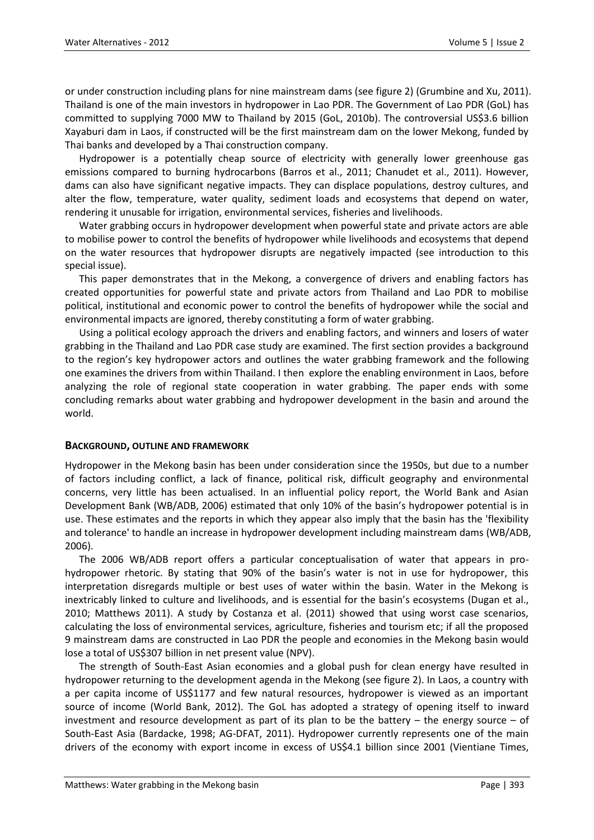or under construction including plans for nine mainstream dams (see figure 2) (Grumbine and Xu, 2011). Thailand is one of the main investors in hydropower in Lao PDR. The Government of Lao PDR (GoL) has committed to supplying 7000 MW to Thailand by 2015 (GoL, 2010b). The controversial US\$3.6 billion Xayaburi dam in Laos, if constructed will be the first mainstream dam on the lower Mekong, funded by Thai banks and developed by a Thai construction company.

Hydropower is a potentially cheap source of electricity with generally lower greenhouse gas emissions compared to burning hydrocarbons (Barros et al., 2011; Chanudet et al., 2011). However, dams can also have significant negative impacts. They can displace populations, destroy cultures, and alter the flow, temperature, water quality, sediment loads and ecosystems that depend on water, rendering it unusable for irrigation, environmental services, fisheries and livelihoods.

Water grabbing occurs in hydropower development when powerful state and private actors are able to mobilise power to control the benefits of hydropower while livelihoods and ecosystems that depend on the water resources that hydropower disrupts are negatively impacted (see introduction to this special issue).

This paper demonstrates that in the Mekong, a convergence of drivers and enabling factors has created opportunities for powerful state and private actors from Thailand and Lao PDR to mobilise political, institutional and economic power to control the benefits of hydropower while the social and environmental impacts are ignored, thereby constituting a form of water grabbing.

Using a political ecology approach the drivers and enabling factors, and winners and losers of water grabbing in the Thailand and Lao PDR case study are examined. The first section provides a background to the region's key hydropower actors and outlines the water grabbing framework and the following one examines the drivers from within Thailand. I then explore the enabling environment in Laos, before analyzing the role of regional state cooperation in water grabbing. The paper ends with some concluding remarks about water grabbing and hydropower development in the basin and around the world.

### **BACKGROUND, OUTLINE AND FRAMEWORK**

Hydropower in the Mekong basin has been under consideration since the 1950s, but due to a number of factors including conflict, a lack of finance, political risk, difficult geography and environmental concerns, very little has been actualised. In an influential policy report, the World Bank and Asian Development Bank (WB/ADB, 2006) estimated that only 10% of the basin's hydropower potential is in use. These estimates and the reports in which they appear also imply that the basin has the 'flexibility and tolerance' to handle an increase in hydropower development including mainstream dams (WB/ADB, 2006).

The 2006 WB/ADB report offers a particular conceptualisation of water that appears in prohydropower rhetoric. By stating that 90% of the basin's water is not in use for hydropower, this interpretation disregards multiple or best uses of water within the basin. Water in the Mekong is inextricably linked to culture and livelihoods, and is essential for the basin's ecosystems (Dugan et al., 2010; Matthews 2011). A study by Costanza et al. (2011) showed that using worst case scenarios, calculating the loss of environmental services, agriculture, fisheries and tourism etc; if all the proposed 9 mainstream dams are constructed in Lao PDR the people and economies in the Mekong basin would lose a total of US\$307 billion in net present value (NPV).

The strength of South-East Asian economies and a global push for clean energy have resulted in hydropower returning to the development agenda in the Mekong (see figure 2). In Laos, a country with a per capita income of US\$1177 and few natural resources, hydropower is viewed as an important source of income (World Bank, 2012). The GoL has adopted a strategy of opening itself to inward investment and resource development as part of its plan to be the battery – the energy source – of South-East Asia (Bardacke, 1998; AG-DFAT, 2011). Hydropower currently represents one of the main drivers of the economy with export income in excess of US\$4.1 billion since 2001 (Vientiane Times,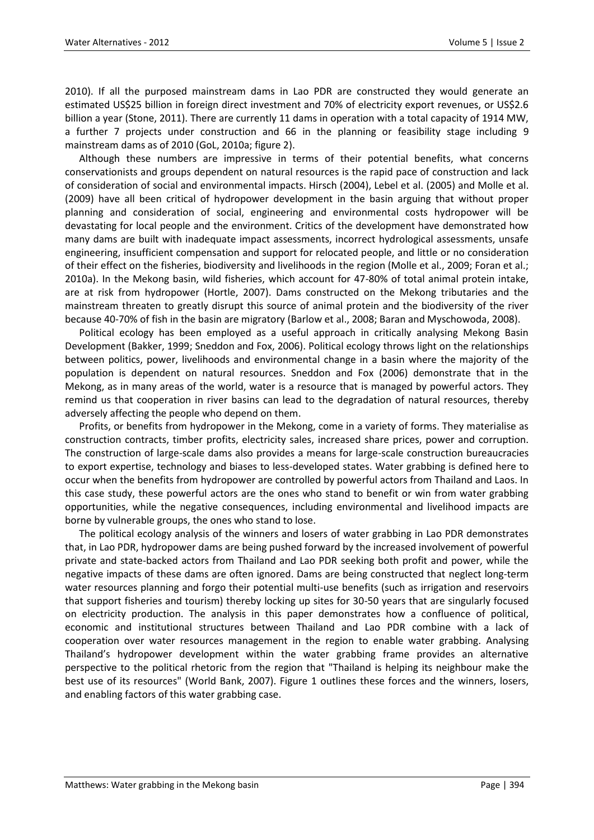2010). If all the purposed mainstream dams in Lao PDR are constructed they would generate an estimated US\$25 billion in foreign direct investment and 70% of electricity export revenues, or US\$2.6 billion a year (Stone, 2011). There are currently 11 dams in operation with a total capacity of 1914 MW, a further 7 projects under construction and 66 in the planning or feasibility stage including 9 mainstream dams as of 2010 (GoL, 2010a; figure 2).

Although these numbers are impressive in terms of their potential benefits, what concerns conservationists and groups dependent on natural resources is the rapid pace of construction and lack of consideration of social and environmental impacts. Hirsch (2004), Lebel et al. (2005) and Molle et al. (2009) have all been critical of hydropower development in the basin arguing that without proper planning and consideration of social, engineering and environmental costs hydropower will be devastating for local people and the environment. Critics of the development have demonstrated how many dams are built with inadequate impact assessments, incorrect hydrological assessments, unsafe engineering, insufficient compensation and support for relocated people, and little or no consideration of their effect on the fisheries, biodiversity and livelihoods in the region (Molle et al., 2009; Foran et al.; 2010a). In the Mekong basin, wild fisheries, which account for 47-80% of total animal protein intake, are at risk from hydropower (Hortle, 2007). Dams constructed on the Mekong tributaries and the mainstream threaten to greatly disrupt this source of animal protein and the biodiversity of the river because 40-70% of fish in the basin are migratory (Barlow et al., 2008; Baran and Myschowoda, 2008).

Political ecology has been employed as a useful approach in critically analysing Mekong Basin Development (Bakker, 1999; Sneddon and Fox, 2006). Political ecology throws light on the relationships between politics, power, livelihoods and environmental change in a basin where the majority of the population is dependent on natural resources. Sneddon and Fox (2006) demonstrate that in the Mekong, as in many areas of the world, water is a resource that is managed by powerful actors. They remind us that cooperation in river basins can lead to the degradation of natural resources, thereby adversely affecting the people who depend on them.

Profits, or benefits from hydropower in the Mekong, come in a variety of forms. They materialise as construction contracts, timber profits, electricity sales, increased share prices, power and corruption. The construction of large-scale dams also provides a means for large-scale construction bureaucracies to export expertise, technology and biases to less-developed states. Water grabbing is defined here to occur when the benefits from hydropower are controlled by powerful actors from Thailand and Laos. In this case study, these powerful actors are the ones who stand to benefit or win from water grabbing opportunities, while the negative consequences, including environmental and livelihood impacts are borne by vulnerable groups, the ones who stand to lose.

The political ecology analysis of the winners and losers of water grabbing in Lao PDR demonstrates that, in Lao PDR, hydropower dams are being pushed forward by the increased involvement of powerful private and state-backed actors from Thailand and Lao PDR seeking both profit and power, while the negative impacts of these dams are often ignored. Dams are being constructed that neglect long-term water resources planning and forgo their potential multi-use benefits (such as irrigation and reservoirs that support fisheries and tourism) thereby locking up sites for 30-50 years that are singularly focused on electricity production. The analysis in this paper demonstrates how a confluence of political, economic and institutional structures between Thailand and Lao PDR combine with a lack of cooperation over water resources management in the region to enable water grabbing. Analysing Thailand's hydropower development within the water grabbing frame provides an alternative perspective to the political rhetoric from the region that "Thailand is helping its neighbour make the best use of its resources" (World Bank, 2007). Figure 1 outlines these forces and the winners, losers, and enabling factors of this water grabbing case.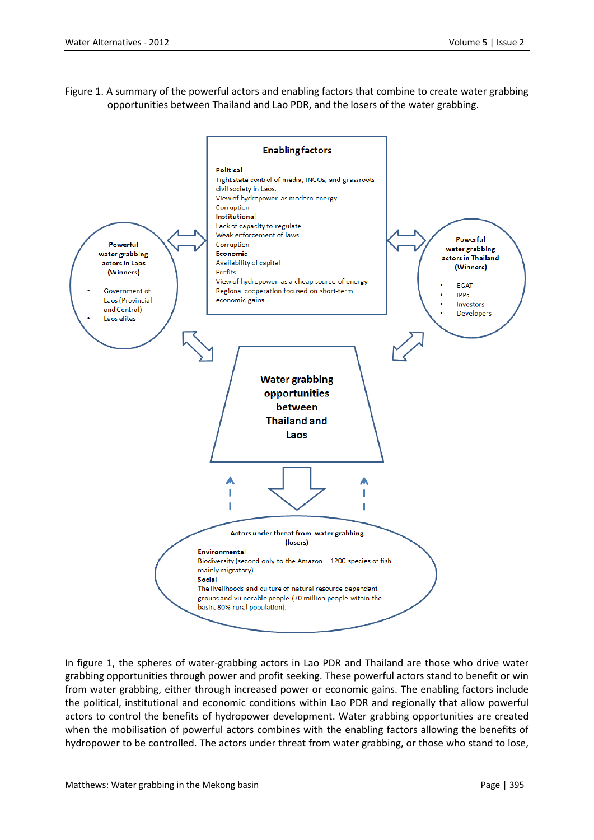Figure 1. A summary of the powerful actors and enabling factors that combine to create water grabbing opportunities between Thailand and Lao PDR, and the losers of the water grabbing.



In figure 1, the spheres of water-grabbing actors in Lao PDR and Thailand are those who drive water grabbing opportunities through power and profit seeking. These powerful actors stand to benefit or win from water grabbing, either through increased power or economic gains. The enabling factors include the political, institutional and economic conditions within Lao PDR and regionally that allow powerful actors to control the benefits of hydropower development. Water grabbing opportunities are created when the mobilisation of powerful actors combines with the enabling factors allowing the benefits of hydropower to be controlled. The actors under threat from water grabbing, or those who stand to lose,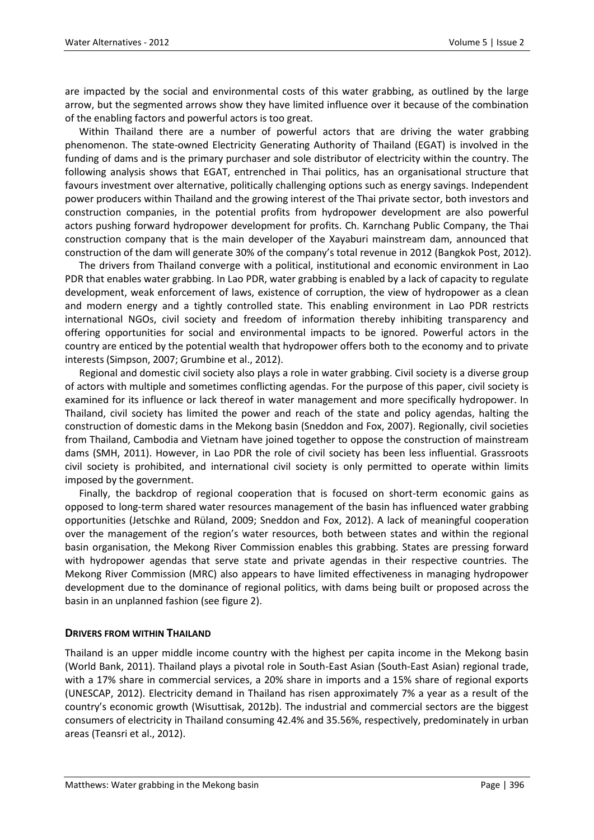are impacted by the social and environmental costs of this water grabbing, as outlined by the large arrow, but the segmented arrows show they have limited influence over it because of the combination of the enabling factors and powerful actors is too great.

Within Thailand there are a number of powerful actors that are driving the water grabbing phenomenon. The state-owned Electricity Generating Authority of Thailand (EGAT) is involved in the funding of dams and is the primary purchaser and sole distributor of electricity within the country. The following analysis shows that EGAT, entrenched in Thai politics, has an organisational structure that favours investment over alternative, politically challenging options such as energy savings. Independent power producers within Thailand and the growing interest of the Thai private sector, both investors and construction companies, in the potential profits from hydropower development are also powerful actors pushing forward hydropower development for profits. Ch. Karnchang Public Company, the Thai construction company that is the main developer of the Xayaburi mainstream dam, announced that construction of the dam will generate 30% of the company's total revenue in 2012 (Bangkok Post, 2012).

The drivers from Thailand converge with a political, institutional and economic environment in Lao PDR that enables water grabbing. In Lao PDR, water grabbing is enabled by a lack of capacity to regulate development, weak enforcement of laws, existence of corruption, the view of hydropower as a clean and modern energy and a tightly controlled state. This enabling environment in Lao PDR restricts international NGOs, civil society and freedom of information thereby inhibiting transparency and offering opportunities for social and environmental impacts to be ignored. Powerful actors in the country are enticed by the potential wealth that hydropower offers both to the economy and to private interests (Simpson, 2007; Grumbine et al., 2012).

Regional and domestic civil society also plays a role in water grabbing. Civil society is a diverse group of actors with multiple and sometimes conflicting agendas. For the purpose of this paper, civil society is examined for its influence or lack thereof in water management and more specifically hydropower. In Thailand, civil society has limited the power and reach of the state and policy agendas, halting the construction of domestic dams in the Mekong basin (Sneddon and Fox, 2007). Regionally, civil societies from Thailand, Cambodia and Vietnam have joined together to oppose the construction of mainstream dams (SMH, 2011). However, in Lao PDR the role of civil society has been less influential. Grassroots civil society is prohibited, and international civil society is only permitted to operate within limits imposed by the government.

Finally, the backdrop of regional cooperation that is focused on short-term economic gains as opposed to long-term shared water resources management of the basin has influenced water grabbing opportunities (Jetschke and Rüland, 2009; Sneddon and Fox, 2012). A lack of meaningful cooperation over the management of the region's water resources, both between states and within the regional basin organisation, the Mekong River Commission enables this grabbing. States are pressing forward with hydropower agendas that serve state and private agendas in their respective countries. The Mekong River Commission (MRC) also appears to have limited effectiveness in managing hydropower development due to the dominance of regional politics, with dams being built or proposed across the basin in an unplanned fashion (see figure 2).

### **DRIVERS FROM WITHIN THAILAND**

Thailand is an upper middle income country with the highest per capita income in the Mekong basin (World Bank, 2011). Thailand plays a pivotal role in South-East Asian (South-East Asian) regional trade, with a 17% share in commercial services, a 20% share in imports and a 15% share of regional exports (UNESCAP, 2012). Electricity demand in Thailand has risen approximately 7% a year as a result of the country's economic growth (Wisuttisak, 2012b). The industrial and commercial sectors are the biggest consumers of electricity in Thailand consuming 42.4% and 35.56%, respectively, predominately in urban areas (Teansri et al., 2012).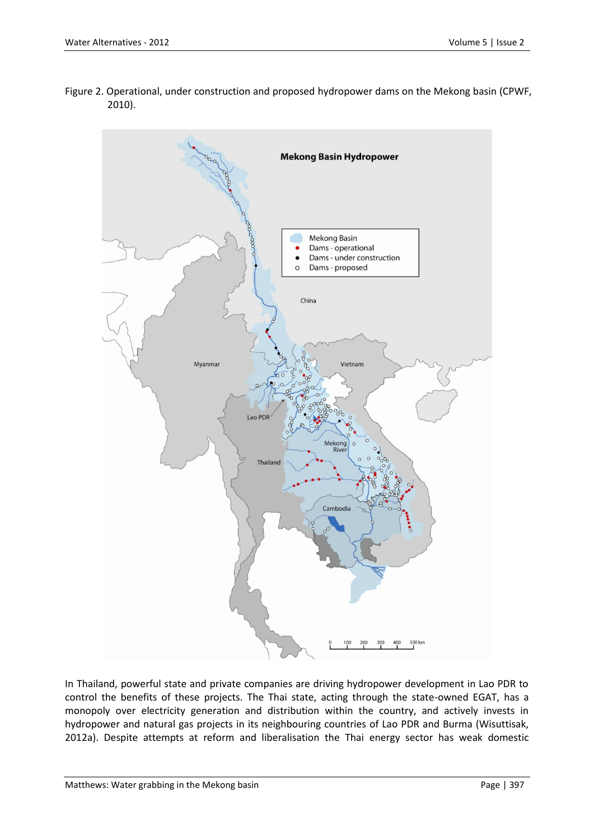Figure 2. Operational, under construction and proposed hydropower dams on the Mekong basin (CPWF, 2010).



In Thailand, powerful state and private companies are driving hydropower development in Lao PDR to control the benefits of these projects. The Thai state, acting through the state-owned EGAT, has a monopoly over electricity generation and distribution within the country, and actively invests in hydropower and natural gas projects in its neighbouring countries of Lao PDR and Burma (Wisuttisak, 2012a). Despite attempts at reform and liberalisation the Thai energy sector has weak domestic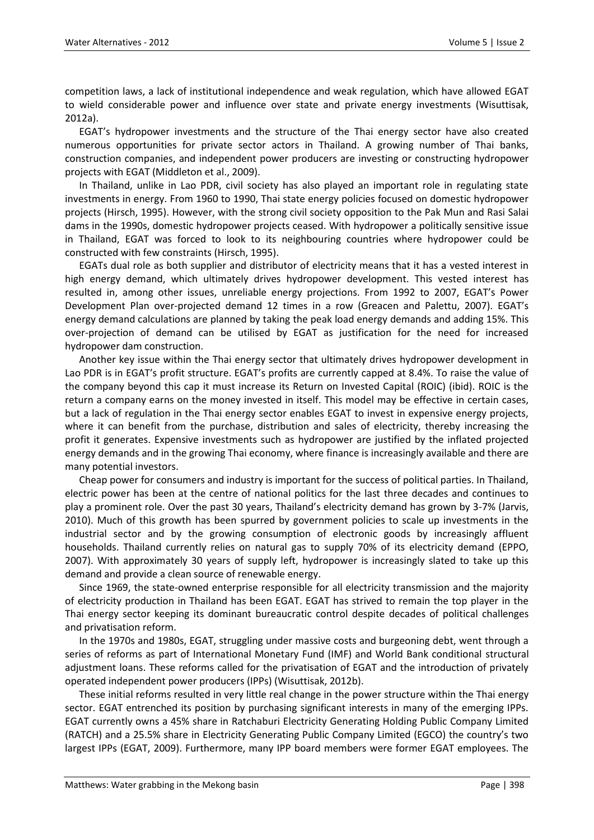competition laws, a lack of institutional independence and weak regulation, which have allowed EGAT to wield considerable power and influence over state and private energy investments (Wisuttisak, 2012a).

EGAT's hydropower investments and the structure of the Thai energy sector have also created numerous opportunities for private sector actors in Thailand. A growing number of Thai banks, construction companies, and independent power producers are investing or constructing hydropower projects with EGAT (Middleton et al., 2009).

In Thailand, unlike in Lao PDR, civil society has also played an important role in regulating state investments in energy. From 1960 to 1990, Thai state energy policies focused on domestic hydropower projects (Hirsch, 1995). However, with the strong civil society opposition to the Pak Mun and Rasi Salai dams in the 1990s, domestic hydropower projects ceased. With hydropower a politically sensitive issue in Thailand, EGAT was forced to look to its neighbouring countries where hydropower could be constructed with few constraints (Hirsch, 1995).

EGATs dual role as both supplier and distributor of electricity means that it has a vested interest in high energy demand, which ultimately drives hydropower development. This vested interest has resulted in, among other issues, unreliable energy projections. From 1992 to 2007, EGAT's Power Development Plan over-projected demand 12 times in a row (Greacen and Palettu, 2007). EGAT's energy demand calculations are planned by taking the peak load energy demands and adding 15%. This over-projection of demand can be utilised by EGAT as justification for the need for increased hydropower dam construction.

Another key issue within the Thai energy sector that ultimately drives hydropower development in Lao PDR is in EGAT's profit structure. EGAT's profits are currently capped at 8.4%. To raise the value of the company beyond this cap it must increase its Return on Invested Capital (ROIC) (ibid). ROIC is the return a company earns on the money invested in itself. This model may be effective in certain cases, but a lack of regulation in the Thai energy sector enables EGAT to invest in expensive energy projects, where it can benefit from the purchase, distribution and sales of electricity, thereby increasing the profit it generates. Expensive investments such as hydropower are justified by the inflated projected energy demands and in the growing Thai economy, where finance is increasingly available and there are many potential investors.

Cheap power for consumers and industry is important for the success of political parties. In Thailand, electric power has been at the centre of national politics for the last three decades and continues to play a prominent role. Over the past 30 years, Thailand's electricity demand has grown by 3-7% (Jarvis, 2010). Much of this growth has been spurred by government policies to scale up investments in the industrial sector and by the growing consumption of electronic goods by increasingly affluent households. Thailand currently relies on natural gas to supply 70% of its electricity demand (EPPO, 2007). With approximately 30 years of supply left, hydropower is increasingly slated to take up this demand and provide a clean source of renewable energy.

Since 1969, the state-owned enterprise responsible for all electricity transmission and the majority of electricity production in Thailand has been EGAT. EGAT has strived to remain the top player in the Thai energy sector keeping its dominant bureaucratic control despite decades of political challenges and privatisation reform.

In the 1970s and 1980s, EGAT, struggling under massive costs and burgeoning debt, went through a series of reforms as part of International Monetary Fund (IMF) and World Bank conditional structural adjustment loans. These reforms called for the privatisation of EGAT and the introduction of privately operated independent power producers (IPPs) (Wisuttisak, 2012b).

These initial reforms resulted in very little real change in the power structure within the Thai energy sector. EGAT entrenched its position by purchasing significant interests in many of the emerging IPPs. EGAT currently owns a 45% share in Ratchaburi Electricity Generating Holding Public Company Limited (RATCH) and a 25.5% share in Electricity Generating Public Company Limited (EGCO) the country's two largest IPPs (EGAT, 2009). Furthermore, many IPP board members were former EGAT employees. The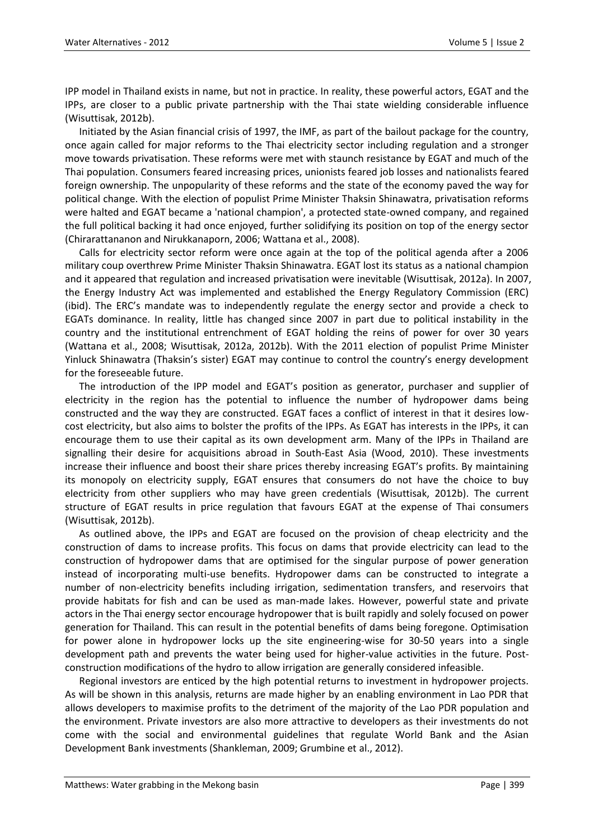IPP model in Thailand exists in name, but not in practice. In reality, these powerful actors, EGAT and the IPPs, are closer to a public private partnership with the Thai state wielding considerable influence (Wisuttisak, 2012b).

Initiated by the Asian financial crisis of 1997, the IMF, as part of the bailout package for the country, once again called for major reforms to the Thai electricity sector including regulation and a stronger move towards privatisation. These reforms were met with staunch resistance by EGAT and much of the Thai population. Consumers feared increasing prices, unionists feared job losses and nationalists feared foreign ownership. The unpopularity of these reforms and the state of the economy paved the way for political change. With the election of populist Prime Minister Thaksin Shinawatra, privatisation reforms were halted and EGAT became a 'national champion', a protected state-owned company, and regained the full political backing it had once enjoyed, further solidifying its position on top of the energy sector (Chirarattananon and Nirukkanaporn, 2006; Wattana et al., 2008).

Calls for electricity sector reform were once again at the top of the political agenda after a 2006 military coup overthrew Prime Minister Thaksin Shinawatra. EGAT lost its status as a national champion and it appeared that regulation and increased privatisation were inevitable (Wisuttisak, 2012a). In 2007, the Energy Industry Act was implemented and established the Energy Regulatory Commission (ERC) (ibid). The ERC's mandate was to independently regulate the energy sector and provide a check to EGATs dominance. In reality, little has changed since 2007 in part due to political instability in the country and the institutional entrenchment of EGAT holding the reins of power for over 30 years (Wattana et al., 2008; Wisuttisak, 2012a, 2012b). With the 2011 election of populist Prime Minister Yinluck Shinawatra (Thaksin's sister) EGAT may continue to control the country's energy development for the foreseeable future.

The introduction of the IPP model and EGAT's position as generator, purchaser and supplier of electricity in the region has the potential to influence the number of hydropower dams being constructed and the way they are constructed. EGAT faces a conflict of interest in that it desires lowcost electricity, but also aims to bolster the profits of the IPPs. As EGAT has interests in the IPPs, it can encourage them to use their capital as its own development arm. Many of the IPPs in Thailand are signalling their desire for acquisitions abroad in South-East Asia (Wood, 2010). These investments increase their influence and boost their share prices thereby increasing EGAT's profits. By maintaining its monopoly on electricity supply, EGAT ensures that consumers do not have the choice to buy electricity from other suppliers who may have green credentials (Wisuttisak, 2012b). The current structure of EGAT results in price regulation that favours EGAT at the expense of Thai consumers (Wisuttisak, 2012b).

As outlined above, the IPPs and EGAT are focused on the provision of cheap electricity and the construction of dams to increase profits. This focus on dams that provide electricity can lead to the construction of hydropower dams that are optimised for the singular purpose of power generation instead of incorporating multi-use benefits. Hydropower dams can be constructed to integrate a number of non-electricity benefits including irrigation, sedimentation transfers, and reservoirs that provide habitats for fish and can be used as man-made lakes. However, powerful state and private actors in the Thai energy sector encourage hydropower that is built rapidly and solely focused on power generation for Thailand. This can result in the potential benefits of dams being foregone. Optimisation for power alone in hydropower locks up the site engineering-wise for 30-50 years into a single development path and prevents the water being used for higher-value activities in the future. Postconstruction modifications of the hydro to allow irrigation are generally considered infeasible.

Regional investors are enticed by the high potential returns to investment in hydropower projects. As will be shown in this analysis, returns are made higher by an enabling environment in Lao PDR that allows developers to maximise profits to the detriment of the majority of the Lao PDR population and the environment. Private investors are also more attractive to developers as their investments do not come with the social and environmental guidelines that regulate World Bank and the Asian Development Bank investments (Shankleman, 2009; Grumbine et al., 2012).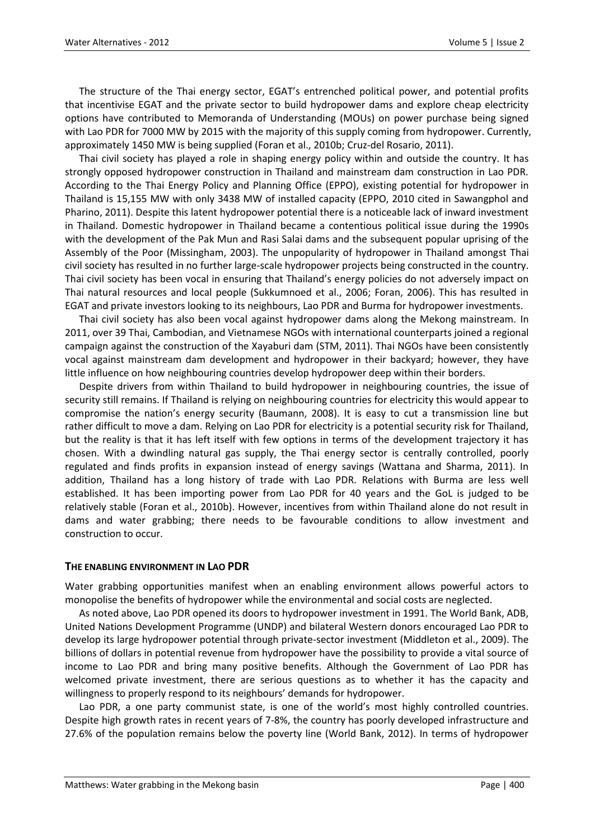The structure of the Thai energy sector, EGAT's entrenched political power, and potential profits that incentivise EGAT and the private sector to build hydropower dams and explore cheap electricity options have contributed to Memoranda of Understanding (MOUs) on power purchase being signed with Lao PDR for 7000 MW by 2015 with the majority of this supply coming from hydropower. Currently, approximately 1450 MW is being supplied (Foran et al., 2010b; Cruz-del Rosario, 2011).

Thai civil society has played a role in shaping energy policy within and outside the country. It has strongly opposed hydropower construction in Thailand and mainstream dam construction in Lao PDR. According to the Thai Energy Policy and Planning Office (EPPO), existing potential for hydropower in Thailand is 15,155 MW with only 3438 MW of installed capacity (EPPO, 2010 cited in Sawangphol and Pharino, 2011). Despite this latent hydropower potential there is a noticeable lack of inward investment in Thailand. Domestic hydropower in Thailand became a contentious political issue during the 1990s with the development of the Pak Mun and Rasi Salai dams and the subsequent popular uprising of the Assembly of the Poor (Missingham, 2003). The unpopularity of hydropower in Thailand amongst Thai civil society has resulted in no further large-scale hydropower projects being constructed in the country. Thai civil society has been vocal in ensuring that Thailand's energy policies do not adversely impact on Thai natural resources and local people (Sukkumnoed et al., 2006; Foran, 2006). This has resulted in EGAT and private investors looking to its neighbours, Lao PDR and Burma for hydropower investments.

Thai civil society has also been vocal against hydropower dams along the Mekong mainstream. In 2011, over 39 Thai, Cambodian, and Vietnamese NGOs with international counterparts joined a regional campaign against the construction of the Xayaburi dam (STM, 2011). Thai NGOs have been consistently vocal against mainstream dam development and hydropower in their backyard; however, they have little influence on how neighbouring countries develop hydropower deep within their borders.

Despite drivers from within Thailand to build hydropower in neighbouring countries, the issue of security still remains. If Thailand is relying on neighbouring countries for electricity this would appear to compromise the nation's energy security (Baumann, 2008). It is easy to cut a transmission line but rather difficult to move a dam. Relying on Lao PDR for electricity is a potential security risk for Thailand, but the reality is that it has left itself with few options in terms of the development trajectory it has chosen. With a dwindling natural gas supply, the Thai energy sector is centrally controlled, poorly regulated and finds profits in expansion instead of energy savings (Wattana and Sharma, 2011). In addition, Thailand has a long history of trade with Lao PDR. Relations with Burma are less well established. It has been importing power from Lao PDR for 40 years and the GoL is judged to be relatively stable (Foran et al., 2010b). However, incentives from within Thailand alone do not result in dams and water grabbing; there needs to be favourable conditions to allow investment and construction to occur.

### **THE ENABLING ENVIRONMENT IN LAO PDR**

Water grabbing opportunities manifest when an enabling environment allows powerful actors to monopolise the benefits of hydropower while the environmental and social costs are neglected.

As noted above, Lao PDR opened its doors to hydropower investment in 1991. The World Bank, ADB, United Nations Development Programme (UNDP) and bilateral Western donors encouraged Lao PDR to develop its large hydropower potential through private-sector investment (Middleton et al., 2009). The billions of dollars in potential revenue from hydropower have the possibility to provide a vital source of income to Lao PDR and bring many positive benefits. Although the Government of Lao PDR has welcomed private investment, there are serious questions as to whether it has the capacity and willingness to properly respond to its neighbours' demands for hydropower.

Lao PDR, a one party communist state, is one of the world's most highly controlled countries. Despite high growth rates in recent years of 7-8%, the country has poorly developed infrastructure and 27.6% of the population remains below the poverty line (World Bank, 2012). In terms of hydropower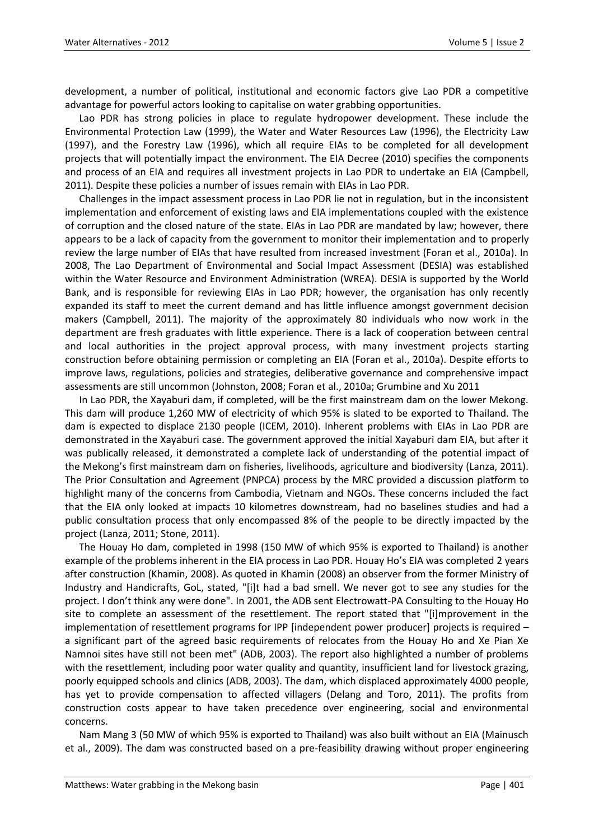development, a number of political, institutional and economic factors give Lao PDR a competitive advantage for powerful actors looking to capitalise on water grabbing opportunities.

Lao PDR has strong policies in place to regulate hydropower development. These include the Environmental Protection Law (1999), the Water and Water Resources Law (1996), the Electricity Law (1997), and the Forestry Law (1996), which all require EIAs to be completed for all development projects that will potentially impact the environment. The EIA Decree (2010) specifies the components and process of an EIA and requires all investment projects in Lao PDR to undertake an EIA (Campbell, 2011). Despite these policies a number of issues remain with EIAs in Lao PDR.

Challenges in the impact assessment process in Lao PDR lie not in regulation, but in the inconsistent implementation and enforcement of existing laws and EIA implementations coupled with the existence of corruption and the closed nature of the state. EIAs in Lao PDR are mandated by law; however, there appears to be a lack of capacity from the government to monitor their implementation and to properly review the large number of EIAs that have resulted from increased investment (Foran et al., 2010a). In 2008, The Lao Department of Environmental and Social Impact Assessment (DESIA) was established within the Water Resource and Environment Administration (WREA). DESIA is supported by the World Bank, and is responsible for reviewing EIAs in Lao PDR; however, the organisation has only recently expanded its staff to meet the current demand and has little influence amongst government decision makers (Campbell, 2011). The majority of the approximately 80 individuals who now work in the department are fresh graduates with little experience. There is a lack of cooperation between central and local authorities in the project approval process, with many investment projects starting construction before obtaining permission or completing an EIA (Foran et al., 2010a). Despite efforts to improve laws, regulations, policies and strategies, deliberative governance and comprehensive impact assessments are still uncommon (Johnston, 2008; Foran et al., 2010a; Grumbine and Xu 2011

In Lao PDR, the Xayaburi dam, if completed, will be the first mainstream dam on the lower Mekong. This dam will produce 1,260 MW of electricity of which 95% is slated to be exported to Thailand. The dam is expected to displace 2130 people (ICEM, 2010). Inherent problems with EIAs in Lao PDR are demonstrated in the Xayaburi case. The government approved the initial Xayaburi dam EIA, but after it was publically released, it demonstrated a complete lack of understanding of the potential impact of the Mekong's first mainstream dam on fisheries, livelihoods, agriculture and biodiversity (Lanza, 2011). The Prior Consultation and Agreement (PNPCA) process by the MRC provided a discussion platform to highlight many of the concerns from Cambodia, Vietnam and NGOs. These concerns included the fact that the EIA only looked at impacts 10 kilometres downstream, had no baselines studies and had a public consultation process that only encompassed 8% of the people to be directly impacted by the project (Lanza, 2011; Stone, 2011).

The Houay Ho dam, completed in 1998 (150 MW of which 95% is exported to Thailand) is another example of the problems inherent in the EIA process in Lao PDR. Houay Ho's EIA was completed 2 years after construction (Khamin, 2008). As quoted in Khamin (2008) an observer from the former Ministry of Industry and Handicrafts, GoL, stated, "[i]t had a bad smell. We never got to see any studies for the project. I don't think any were done". In 2001, the ADB sent Electrowatt-PA Consulting to the Houay Ho site to complete an assessment of the resettlement. The report stated that "[i]mprovement in the implementation of resettlement programs for IPP [independent power producer] projects is required – a significant part of the agreed basic requirements of relocates from the Houay Ho and Xe Pian Xe Namnoi sites have still not been met" (ADB, 2003). The report also highlighted a number of problems with the resettlement, including poor water quality and quantity, insufficient land for livestock grazing, poorly equipped schools and clinics (ADB, 2003). The dam, which displaced approximately 4000 people, has yet to provide compensation to affected villagers (Delang and Toro, 2011). The profits from construction costs appear to have taken precedence over engineering, social and environmental concerns.

Nam Mang 3 (50 MW of which 95% is exported to Thailand) was also built without an EIA (Mainusch et al., 2009). The dam was constructed based on a pre-feasibility drawing without proper engineering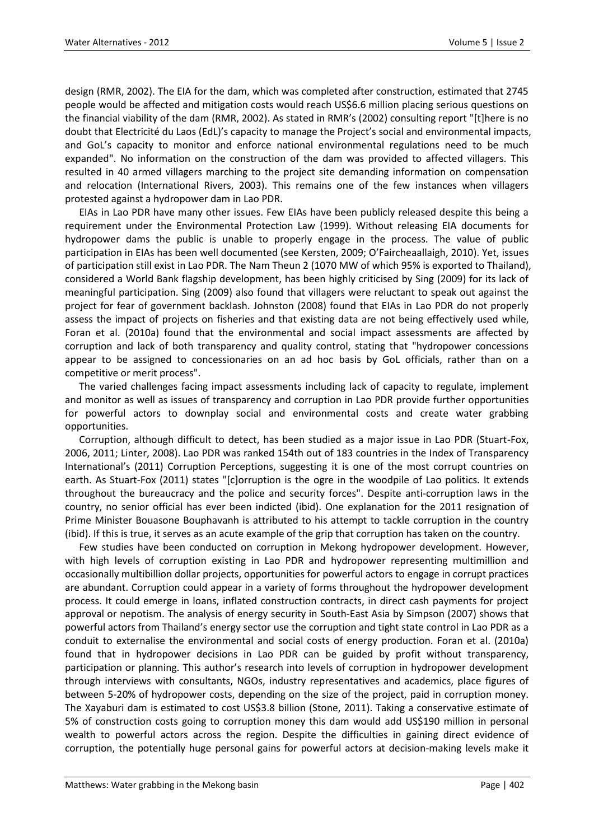design (RMR, 2002). The EIA for the dam, which was completed after construction, estimated that 2745 people would be affected and mitigation costs would reach US\$6.6 million placing serious questions on the financial viability of the dam (RMR, 2002). As stated in RMR's (2002) consulting report "[t]here is no doubt that Electricité du Laos (EdL)'s capacity to manage the Project's social and environmental impacts, and GoL's capacity to monitor and enforce national environmental regulations need to be much expanded". No information on the construction of the dam was provided to affected villagers. This resulted in 40 armed villagers marching to the project site demanding information on compensation and relocation (International Rivers, 2003). This remains one of the few instances when villagers protested against a hydropower dam in Lao PDR.

EIAs in Lao PDR have many other issues. Few EIAs have been publicly released despite this being a requirement under the Environmental Protection Law (1999). Without releasing EIA documents for hydropower dams the public is unable to properly engage in the process. The value of public participation in EIAs has been well documented (see Kersten, 2009; O'Faircheaallaigh, 2010). Yet, issues of participation still exist in Lao PDR. The Nam Theun 2 (1070 MW of which 95% is exported to Thailand), considered a World Bank flagship development, has been highly criticised by Sing (2009) for its lack of meaningful participation. Sing (2009) also found that villagers were reluctant to speak out against the project for fear of government backlash. Johnston (2008) found that EIAs in Lao PDR do not properly assess the impact of projects on fisheries and that existing data are not being effectively used while, Foran et al. (2010a) found that the environmental and social impact assessments are affected by corruption and lack of both transparency and quality control, stating that "hydropower concessions appear to be assigned to concessionaries on an ad hoc basis by GoL officials, rather than on a competitive or merit process".

The varied challenges facing impact assessments including lack of capacity to regulate, implement and monitor as well as issues of transparency and corruption in Lao PDR provide further opportunities for powerful actors to downplay social and environmental costs and create water grabbing opportunities.

Corruption, although difficult to detect, has been studied as a major issue in Lao PDR (Stuart-Fox, 2006, 2011; Linter, 2008). Lao PDR was ranked 154th out of 183 countries in the Index of Transparency International's (2011) Corruption Perceptions, suggesting it is one of the most corrupt countries on earth. As Stuart-Fox (2011) states "[c]orruption is the ogre in the woodpile of Lao politics. It extends throughout the bureaucracy and the police and security forces". Despite anti-corruption laws in the country, no senior official has ever been indicted (ibid). One explanation for the 2011 resignation of Prime Minister Bouasone Bouphavanh is attributed to his attempt to tackle corruption in the country (ibid). If this is true, it serves as an acute example of the grip that corruption has taken on the country.

Few studies have been conducted on corruption in Mekong hydropower development. However, with high levels of corruption existing in Lao PDR and hydropower representing multimillion and occasionally multibillion dollar projects, opportunities for powerful actors to engage in corrupt practices are abundant. Corruption could appear in a variety of forms throughout the hydropower development process. It could emerge in loans, inflated construction contracts, in direct cash payments for project approval or nepotism. The analysis of energy security in South-East Asia by Simpson (2007) shows that powerful actors from Thailand's energy sector use the corruption and tight state control in Lao PDR as a conduit to externalise the environmental and social costs of energy production. Foran et al. (2010a) found that in hydropower decisions in Lao PDR can be guided by profit without transparency, participation or planning. This author's research into levels of corruption in hydropower development through interviews with consultants, NGOs, industry representatives and academics, place figures of between 5-20% of hydropower costs, depending on the size of the project, paid in corruption money. The Xayaburi dam is estimated to cost US\$3.8 billion (Stone, 2011). Taking a conservative estimate of 5% of construction costs going to corruption money this dam would add US\$190 million in personal wealth to powerful actors across the region. Despite the difficulties in gaining direct evidence of corruption, the potentially huge personal gains for powerful actors at decision-making levels make it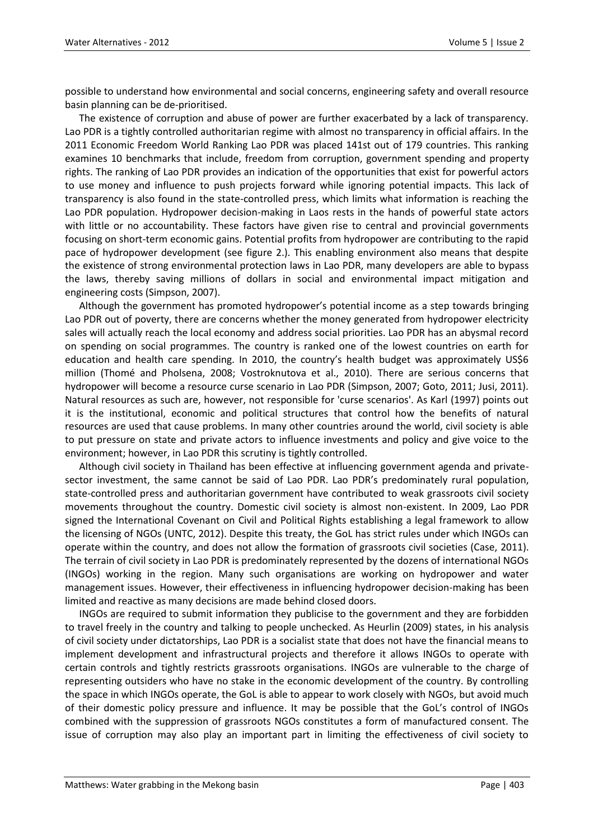possible to understand how environmental and social concerns, engineering safety and overall resource basin planning can be de-prioritised.

The existence of corruption and abuse of power are further exacerbated by a lack of transparency. Lao PDR is a tightly controlled authoritarian regime with almost no transparency in official affairs. In the 2011 Economic Freedom World Ranking Lao PDR was placed 141st out of 179 countries. This ranking examines 10 benchmarks that include, freedom from corruption, government spending and property rights. The ranking of Lao PDR provides an indication of the opportunities that exist for powerful actors to use money and influence to push projects forward while ignoring potential impacts. This lack of transparency is also found in the state-controlled press, which limits what information is reaching the Lao PDR population. Hydropower decision-making in Laos rests in the hands of powerful state actors with little or no accountability. These factors have given rise to central and provincial governments focusing on short-term economic gains. Potential profits from hydropower are contributing to the rapid pace of hydropower development (see figure 2.). This enabling environment also means that despite the existence of strong environmental protection laws in Lao PDR, many developers are able to bypass the laws, thereby saving millions of dollars in social and environmental impact mitigation and engineering costs (Simpson, 2007).

Although the government has promoted hydropower's potential income as a step towards bringing Lao PDR out of poverty, there are concerns whether the money generated from hydropower electricity sales will actually reach the local economy and address social priorities. Lao PDR has an abysmal record on spending on social programmes. The country is ranked one of the lowest countries on earth for education and health care spending. In 2010, the country's health budget was approximately US\$6 million (Thomé and Pholsena, 2008; Vostroknutova et al., 2010). There are serious concerns that hydropower will become a resource curse scenario in Lao PDR (Simpson, 2007; Goto, 2011; Jusi, 2011). Natural resources as such are, however, not responsible for 'curse scenarios'. As Karl (1997) points out it is the institutional, economic and political structures that control how the benefits of natural resources are used that cause problems. In many other countries around the world, civil society is able to put pressure on state and private actors to influence investments and policy and give voice to the environment; however, in Lao PDR this scrutiny is tightly controlled.

Although civil society in Thailand has been effective at influencing government agenda and privatesector investment, the same cannot be said of Lao PDR. Lao PDR's predominately rural population, state-controlled press and authoritarian government have contributed to weak grassroots civil society movements throughout the country. Domestic civil society is almost non-existent. In 2009, Lao PDR signed the International Covenant on Civil and Political Rights establishing a legal framework to allow the licensing of NGOs (UNTC, 2012). Despite this treaty, the GoL has strict rules under which INGOs can operate within the country, and does not allow the formation of grassroots civil societies (Case, 2011). The terrain of civil society in Lao PDR is predominately represented by the dozens of international NGOs (INGOs) working in the region. Many such organisations are working on hydropower and water management issues. However, their effectiveness in influencing hydropower decision-making has been limited and reactive as many decisions are made behind closed doors.

INGOs are required to submit information they publicise to the government and they are forbidden to travel freely in the country and talking to people unchecked. As Heurlin (2009) states, in his analysis of civil society under dictatorships, Lao PDR is a socialist state that does not have the financial means to implement development and infrastructural projects and therefore it allows INGOs to operate with certain controls and tightly restricts grassroots organisations. INGOs are vulnerable to the charge of representing outsiders who have no stake in the economic development of the country. By controlling the space in which INGOs operate, the GoL is able to appear to work closely with NGOs, but avoid much of their domestic policy pressure and influence. It may be possible that the GoL's control of INGOs combined with the suppression of grassroots NGOs constitutes a form of manufactured consent. The issue of corruption may also play an important part in limiting the effectiveness of civil society to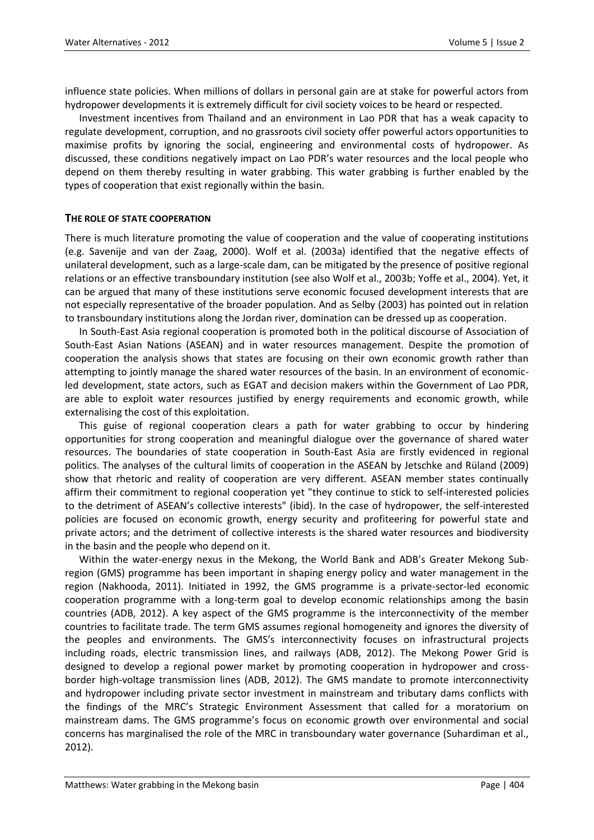influence state policies. When millions of dollars in personal gain are at stake for powerful actors from hydropower developments it is extremely difficult for civil society voices to be heard or respected.

Investment incentives from Thailand and an environment in Lao PDR that has a weak capacity to regulate development, corruption, and no grassroots civil society offer powerful actors opportunities to maximise profits by ignoring the social, engineering and environmental costs of hydropower. As discussed, these conditions negatively impact on Lao PDR's water resources and the local people who depend on them thereby resulting in water grabbing. This water grabbing is further enabled by the types of cooperation that exist regionally within the basin.

### **THE ROLE OF STATE COOPERATION**

There is much literature promoting the value of cooperation and the value of cooperating institutions (e.g. Savenije and van der Zaag, 2000). Wolf et al. (2003a) identified that the negative effects of unilateral development, such as a large-scale dam, can be mitigated by the presence of positive regional relations or an effective transboundary institution (see also Wolf et al., 2003b; Yoffe et al., 2004). Yet, it can be argued that many of these institutions serve economic focused development interests that are not especially representative of the broader population. And as Selby (2003) has pointed out in relation to transboundary institutions along the Jordan river, domination can be dressed up as cooperation.

In South-East Asia regional cooperation is promoted both in the political discourse of Association of South-East Asian Nations (ASEAN) and in water resources management. Despite the promotion of cooperation the analysis shows that states are focusing on their own economic growth rather than attempting to jointly manage the shared water resources of the basin. In an environment of economicled development, state actors, such as EGAT and decision makers within the Government of Lao PDR, are able to exploit water resources justified by energy requirements and economic growth, while externalising the cost of this exploitation.

This guise of regional cooperation clears a path for water grabbing to occur by hindering opportunities for strong cooperation and meaningful dialogue over the governance of shared water resources. The boundaries of state cooperation in South-East Asia are firstly evidenced in regional politics. The analyses of the cultural limits of cooperation in the ASEAN by Jetschke and Rüland (2009) show that rhetoric and reality of cooperation are very different. ASEAN member states continually affirm their commitment to regional cooperation yet "they continue to stick to self-interested policies to the detriment of ASEAN's collective interests" (ibid). In the case of hydropower, the self-interested policies are focused on economic growth, energy security and profiteering for powerful state and private actors; and the detriment of collective interests is the shared water resources and biodiversity in the basin and the people who depend on it.

Within the water-energy nexus in the Mekong, the World Bank and ADB's Greater Mekong Subregion (GMS) programme has been important in shaping energy policy and water management in the region (Nakhooda, 2011). Initiated in 1992, the GMS programme is a private-sector-led economic cooperation programme with a long-term goal to develop economic relationships among the basin countries (ADB, 2012). A key aspect of the GMS programme is the interconnectivity of the member countries to facilitate trade. The term GMS assumes regional homogeneity and ignores the diversity of the peoples and environments. The GMS's interconnectivity focuses on infrastructural projects including roads, electric transmission lines, and railways (ADB, 2012). The Mekong Power Grid is designed to develop a regional power market by promoting cooperation in hydropower and crossborder high-voltage transmission lines (ADB, 2012). The GMS mandate to promote interconnectivity and hydropower including private sector investment in mainstream and tributary dams conflicts with the findings of the MRC's Strategic Environment Assessment that called for a moratorium on mainstream dams. The GMS programme's focus on economic growth over environmental and social concerns has marginalised the role of the MRC in transboundary water governance (Suhardiman et al., 2012).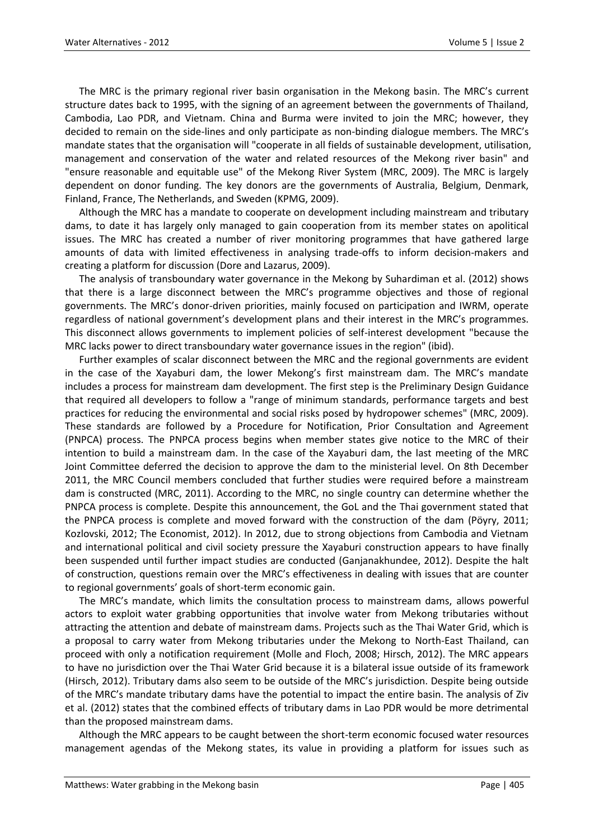The MRC is the primary regional river basin organisation in the Mekong basin. The MRC's current structure dates back to 1995, with the signing of an agreement between the governments of Thailand, Cambodia, Lao PDR, and Vietnam. China and Burma were invited to join the MRC; however, they decided to remain on the side-lines and only participate as non-binding dialogue members. The MRC's mandate states that the organisation will "cooperate in all fields of sustainable development, utilisation, management and conservation of the water and related resources of the Mekong river basin" and "ensure reasonable and equitable use" of the Mekong River System (MRC, 2009). The MRC is largely dependent on donor funding. The key donors are the governments of Australia, Belgium, Denmark, Finland, France, The Netherlands, and Sweden (KPMG, 2009).

Although the MRC has a mandate to cooperate on development including mainstream and tributary dams, to date it has largely only managed to gain cooperation from its member states on apolitical issues. The MRC has created a number of river monitoring programmes that have gathered large amounts of data with limited effectiveness in analysing trade-offs to inform decision-makers and creating a platform for discussion (Dore and Lazarus, 2009).

The analysis of transboundary water governance in the Mekong by Suhardiman et al. (2012) shows that there is a large disconnect between the MRC's programme objectives and those of regional governments. The MRC's donor-driven priorities, mainly focused on participation and IWRM, operate regardless of national government's development plans and their interest in the MRC's programmes. This disconnect allows governments to implement policies of self-interest development "because the MRC lacks power to direct transboundary water governance issues in the region" (ibid).

Further examples of scalar disconnect between the MRC and the regional governments are evident in the case of the Xayaburi dam, the lower Mekong's first mainstream dam. The MRC's mandate includes a process for mainstream dam development. The first step is the Preliminary Design Guidance that required all developers to follow a "range of minimum standards, performance targets and best practices for reducing the environmental and social risks posed by hydropower schemes" (MRC, 2009). These standards are followed by a Procedure for Notification, Prior Consultation and Agreement (PNPCA) process. The PNPCA process begins when member states give notice to the MRC of their intention to build a mainstream dam. In the case of the Xayaburi dam, the last meeting of the MRC Joint Committee deferred the decision to approve the dam to the ministerial level. On 8th December 2011, the MRC Council members concluded that further studies were required before a mainstream dam is constructed (MRC, 2011). According to the MRC, no single country can determine whether the PNPCA process is complete. Despite this announcement, the GoL and the Thai government stated that the PNPCA process is complete and moved forward with the construction of the dam (Pöyry, 2011; Kozlovski, 2012; The Economist, 2012). In 2012, due to strong objections from Cambodia and Vietnam and international political and civil society pressure the Xayaburi construction appears to have finally been suspended until further impact studies are conducted (Ganjanakhundee, 2012). Despite the halt of construction, questions remain over the MRC's effectiveness in dealing with issues that are counter to regional governments' goals of short-term economic gain.

The MRC's mandate, which limits the consultation process to mainstream dams, allows powerful actors to exploit water grabbing opportunities that involve water from Mekong tributaries without attracting the attention and debate of mainstream dams. Projects such as the Thai Water Grid, which is a proposal to carry water from Mekong tributaries under the Mekong to North-East Thailand, can proceed with only a notification requirement (Molle and Floch, 2008; Hirsch, 2012). The MRC appears to have no jurisdiction over the Thai Water Grid because it is a bilateral issue outside of its framework (Hirsch, 2012). Tributary dams also seem to be outside of the MRC's jurisdiction. Despite being outside of the MRC's mandate tributary dams have the potential to impact the entire basin. The analysis of Ziv et al. (2012) states that the combined effects of tributary dams in Lao PDR would be more detrimental than the proposed mainstream dams.

Although the MRC appears to be caught between the short-term economic focused water resources management agendas of the Mekong states, its value in providing a platform for issues such as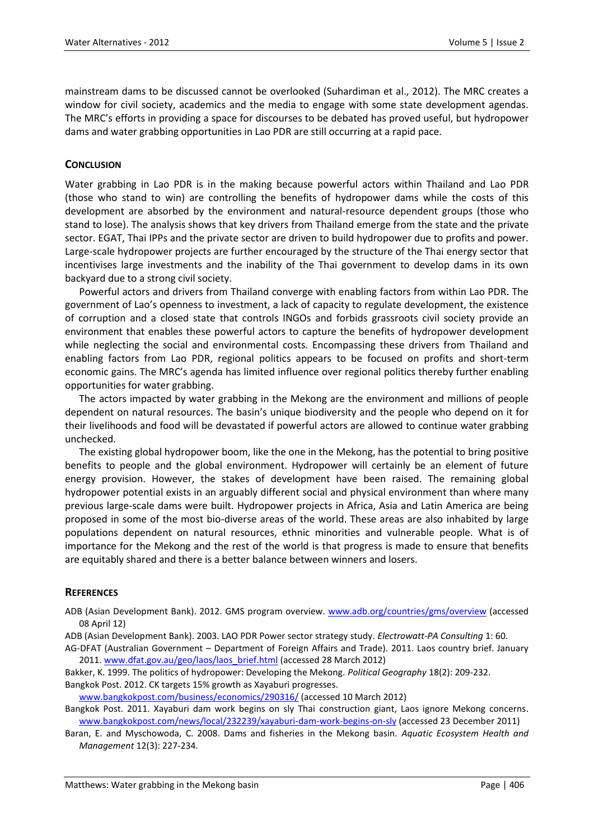mainstream dams to be discussed cannot be overlooked (Suhardiman et al., 2012). The MRC creates a window for civil society, academics and the media to engage with some state development agendas. The MRC's efforts in providing a space for discourses to be debated has proved useful, but hydropower dams and water grabbing opportunities in Lao PDR are still occurring at a rapid pace.

## **CONCLUSION**

Water grabbing in Lao PDR is in the making because powerful actors within Thailand and Lao PDR (those who stand to win) are controlling the benefits of hydropower dams while the costs of this development are absorbed by the environment and natural-resource dependent groups (those who stand to lose). The analysis shows that key drivers from Thailand emerge from the state and the private sector. EGAT, Thai IPPs and the private sector are driven to build hydropower due to profits and power. Large-scale hydropower projects are further encouraged by the structure of the Thai energy sector that incentivises large investments and the inability of the Thai government to develop dams in its own backyard due to a strong civil society.

Powerful actors and drivers from Thailand converge with enabling factors from within Lao PDR. The government of Lao's openness to investment, a lack of capacity to regulate development, the existence of corruption and a closed state that controls INGOs and forbids grassroots civil society provide an environment that enables these powerful actors to capture the benefits of hydropower development while neglecting the social and environmental costs. Encompassing these drivers from Thailand and enabling factors from Lao PDR, regional politics appears to be focused on profits and short-term economic gains. The MRC's agenda has limited influence over regional politics thereby further enabling opportunities for water grabbing.

The actors impacted by water grabbing in the Mekong are the environment and millions of people dependent on natural resources. The basin's unique biodiversity and the people who depend on it for their livelihoods and food will be devastated if powerful actors are allowed to continue water grabbing unchecked.

The existing global hydropower boom, like the one in the Mekong, has the potential to bring positive benefits to people and the global environment. Hydropower will certainly be an element of future energy provision. However, the stakes of development have been raised. The remaining global hydropower potential exists in an arguably different social and physical environment than where many previous large-scale dams were built. Hydropower projects in Africa, Asia and Latin America are being proposed in some of the most bio-diverse areas of the world. These areas are also inhabited by large populations dependent on natural resources, ethnic minorities and vulnerable people. What is of importance for the Mekong and the rest of the world is that progress is made to ensure that benefits are equitably shared and there is a better balance between winners and losers.

### **REFERENCES**

ADB (Asian Development Bank). 2012. GMS program overview. [www.adb.org/countries/gms/overview](http://www.adb.org/countries/gms/overview) (accessed 08 April 12)

ADB (Asian Development Bank). 2003. LAO PDR Power sector strategy study. *Electrowatt-PA Consulting* 1: 60.

AG-DFAT (Australian Government – Department of Foreign Affairs and Trade). 2011. Laos country brief. January 2011[. www.dfat.gov.au/geo/laos/laos\\_brief.html](http://www.dfat.gov.au/geo/laos/laos_brief.html) (accessed 28 March 2012)

Bakker, K. 1999. The politics of hydropower: Developing the Mekong. *Political Geography* 18(2): 209-232. Bangkok Post. 2012. CK targets 15% growth as Xayaburi progresses.

[www.bangkokpost.com/business/economics/290316/](http://www.bangkokpost.com/business/economics/290316/) (accessed 10 March 2012)

Bangkok Post. 2011. Xayaburi dam work begins on sly Thai construction giant, Laos ignore Mekong concerns. [www.bangkokpost.com/news/local/232239/xayaburi-dam-work-begins-on-sly](http://www.bangkokpost.com/news/local/232239/xayaburi-dam-work-begins-on-sly) (accessed 23 December 2011)

Baran, E. and Myschowoda, C. 2008. Dams and fisheries in the Mekong basin. *Aquatic Ecosystem Health and Management* 12(3): 227-234.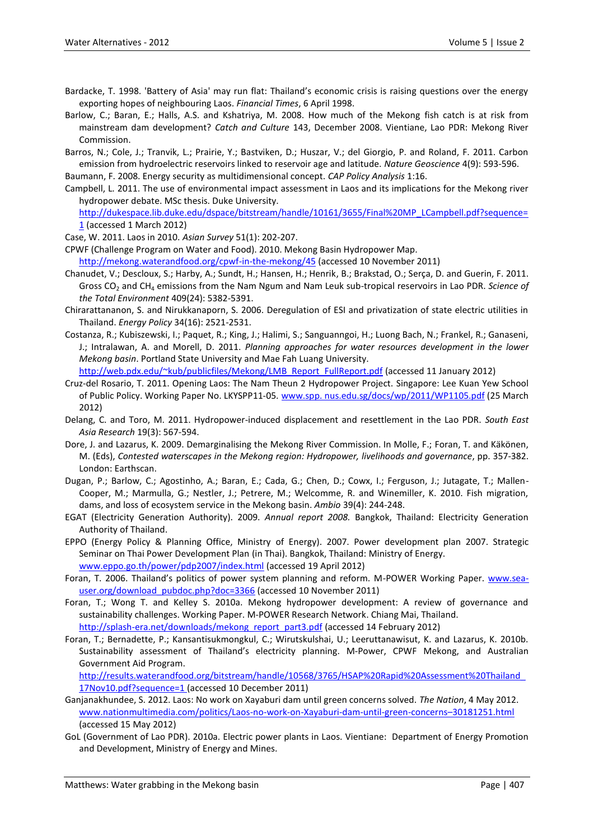- Bardacke, T. 1998. 'Battery of Asia' may run flat: Thailand's economic crisis is raising questions over the energy exporting hopes of neighbouring Laos. *Financial Times*, 6 April 1998.
- Barlow, C.; Baran, E.; Halls, A.S. and Kshatriya, M. 2008. How much of the Mekong fish catch is at risk from mainstream dam development? *Catch and Culture* 143, December 2008. Vientiane, Lao PDR: Mekong River Commission.

Barros, N.; Cole, J.; Tranvik, L.; Prairie, Y.; Bastviken, D.; Huszar, V.; del Giorgio, P. and Roland, F. 2011. Carbon emission from hydroelectric reservoirs linked to reservoir age and latitude. *Nature Geoscience* 4(9): 593-596.

Baumann, F. 2008. Energy security as multidimensional concept. *CAP Policy Analysis* 1:16.

Campbell, L. 2011. The use of environmental impact assessment in Laos and its implications for the Mekong river hydropower debate. MSc thesis. Duke University.

[http://dukespace.lib.duke.edu/dspace/bitstream/handle/10161/3655/Final%20MP\\_LCampbell.pdf?sequence=](http://dukespace.lib.duke.edu/dspace/bitstream/handle/10161/3655/Final%20MP_LCampbell.pdf?sequence=1) [1](http://dukespace.lib.duke.edu/dspace/bitstream/handle/10161/3655/Final%20MP_LCampbell.pdf?sequence=1) (accessed 1 March 2012)

Case, W. 2011. Laos in 2010. *Asian Survey* 51(1): 202-207.

CPWF (Challenge Program on Water and Food). 2010. Mekong Basin Hydropower Map.

<http://mekong.waterandfood.org/cpwf-in-the-mekong/45> (accessed 10 November 2011)

- Chanudet, V.; Descloux, S.; Harby, A.; Sundt, H.; Hansen, H.; Henrik, B.; Brakstad, O.; Serça, D. and Guerin, F. 2011. Gross CO<sup>2</sup> and CH<sup>4</sup> emissions from the Nam Ngum and Nam Leuk sub-tropical reservoirs in Lao PDR. *Science of the Total Environment* 409(24): 5382-5391.
- Chirarattananon, S. and Nirukkanaporn, S. 2006. Deregulation of ESI and privatization of state electric utilities in Thailand. *Energy Policy* 34(16): 2521-2531.
- Costanza, R.; Kubiszewski, I.; Paquet, R.; King, J.; Halimi, S.; Sanguanngoi, H.; Luong Bach, N.; Frankel, R.; Ganaseni, J.; Intralawan, A. and Morell, D. 2011. *Planning approaches for water resources development in the lower Mekong basin*. Portland State University and Mae Fah Luang University.

[http://web.pdx.edu/~kub/publicfiles/Mekong/LMB\\_Report\\_FullReport.pdf](http://web.pdx.edu/~kub/publicfiles/Mekong/LMB_Report_FullReport.pdf) (accessed 11 January 2012)

- Cruz-del Rosario, T. 2011. Opening Laos: The Nam Theun 2 Hydropower Project. Singapore: Lee Kuan Yew School of Public Policy. Working Paper No. LKYSPP11-05. [www.spp. nus.edu.sg/docs/wp/2011/WP1105.pdf](http://www.spp.nus.edu.sg/docs/wp/2011/WP1105.pdf) (25 March 2012)
- Delang, C. and Toro, M. 2011. Hydropower-induced displacement and resettlement in the Lao PDR. *South East Asia Research* 19(3): 567-594.
- Dore, J. and Lazarus, K. 2009. Demarginalising the Mekong River Commission. In Molle, F.; Foran, T. and Käkönen, M. (Eds), *Contested waterscapes in the Mekong region: Hydropower, livelihoods and governance*, pp. 357‐382. London: Earthscan.
- Dugan, P.; Barlow, C.; Agostinho, A.; Baran, E.; Cada, G.; Chen, D.; Cowx, I.; Ferguson, J.; Jutagate, T.; Mallen-Cooper, M.; Marmulla, G.; Nestler, J.; Petrere, M.; Welcomme, R. and Winemiller, K. 2010. Fish migration, dams, and loss of ecosystem service in the Mekong basin. *Ambio* 39(4): 244-248.
- EGAT (Electricity Generation Authority). 2009. *Annual report 2008.* Bangkok, Thailand: Electricity Generation Authority of Thailand.
- EPPO (Energy Policy & Planning Office, Ministry of Energy). 2007. Power development plan 2007. Strategic Seminar on Thai Power Development Plan (in Thai). Bangkok, Thailand: Ministry of Energy. [www.eppo.go.th/power/pdp2007/index.html](http://www.eppo.go.th/power/pdp2007/index.html) (accessed 19 April 2012)
- Foran, T. 2006. Thailand's politics of power system planning and reform. M-POWER Working Paper. [www.sea](http://www.sea-user.org/download_pubdoc.php?doc=3366)[user.org/download\\_pubdoc.php?doc=3366](http://www.sea-user.org/download_pubdoc.php?doc=3366) (accessed 10 November 2011)
- Foran, T.; Wong T. and Kelley S. 2010a. Mekong hydropower development: A review of governance and sustainability challenges. Working Paper. M-POWER Research Network. Chiang Mai, Thailand. [http://splash-era.net/downloads/mekong\\_report\\_part3.pdf](http://splash-era.net/downloads/mekong_report_part3.pdf) (accessed 14 February 2012)
- Foran, T.; Bernadette, P.; Kansantisukmongkul, C.; Wirutskulshai, U.; Leeruttanawisut, K. and Lazarus, K. 2010b. Sustainability assessment of Thailand's electricity planning. M-Power, CPWF Mekong, and Australian Government Aid Program.

[http://results.waterandfood.org/bitstream/handle/10568/3765/HSAP%20Rapid%20Assessment%20Thailand\\_](http://results.waterandfood.org/bitstream/handle/10568/3765/HSAP%20Rapid%20Assessment%20Thailand_17Nov10.pdf?sequence=1) [17Nov10.pdf?sequence=1](http://results.waterandfood.org/bitstream/handle/10568/3765/HSAP%20Rapid%20Assessment%20Thailand_17Nov10.pdf?sequence=1) (accessed 10 December 2011)

- Ganjanakhundee, S. 2012. Laos: No work on Xayaburi dam until green concerns solved. *The Nation*, 4 May 2012. [www.nationmultimedia.com/politics/Laos-no-work-on-Xayaburi-dam-until-green-concerns](http://www.nationmultimedia.com/politics/Laos-no-work-on-Xayaburi-dam-until-green-concerns--30181251.html)–30181251.html (accessed 15 May 2012)
- GoL (Government of Lao PDR). 2010a. Electric power plants in Laos. Vientiane: Department of Energy Promotion and Development, Ministry of Energy and Mines.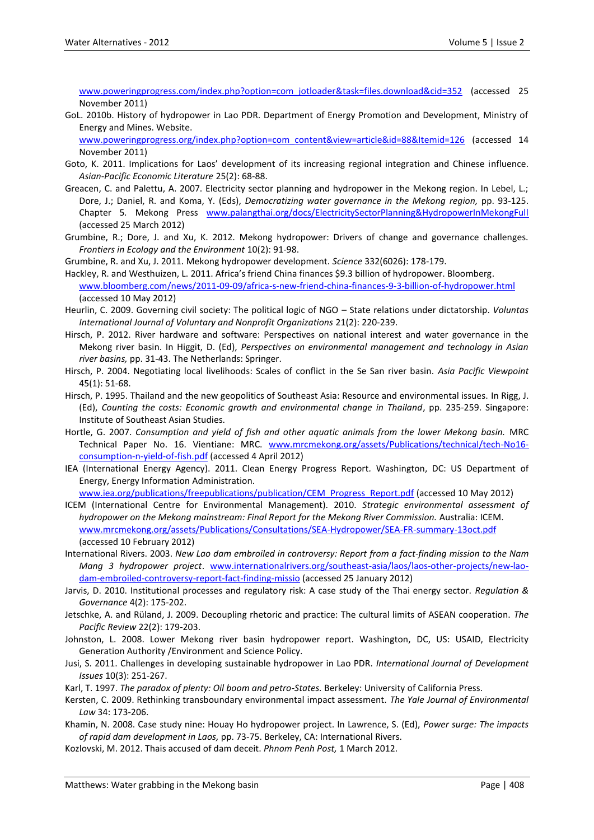[www.poweringprogress.com/index.php?option=com\\_jotloader&task=files.download&cid=352](http://www.poweringprogress.com/index.php?option=com_jotloader&task=files.download&cid=352) (accessed 25 November 2011)

GoL. 2010b. History of hydropower in Lao PDR. Department of Energy Promotion and Development, Ministry of Energy and Mines. Website.

[www.poweringprogress.org/index.php?option=com\\_content&view=article&id=88&Itemid=126](http://www.poweringprogress.org/index.php?option=com_content&view=article&id=88&Itemid=126) (accessed 14 November 2011)

- Goto, K. 2011. Implications for Laos' development of its increasing regional integration and Chinese influence. *Asian-Pacific Economic Literature* 25(2): 68-88.
- Greacen, C. and Palettu, A. 2007. Electricity sector planning and hydropower in the Mekong region. In Lebel, L.; Dore, J.; Daniel, R. and Koma, Y. (Eds), *Democratizing water governance in the Mekong region,* pp. 93-125. Chapter 5*.* Mekong Press [www.palangthai.org/docs/ElectricitySectorPlanning&HydropowerInMekongFull](http://www.palangthai.org/docs/ElectricitySectorPlanning&HydropowerInMekongFull) (accessed 25 March 2012)
- Grumbine, R.; Dore, J. and Xu, K. 2012. Mekong hydropower: Drivers of change and governance challenges. *Frontiers in Ecology and the Environment* 10(2): 91-98.

Grumbine, R. and Xu, J. 2011. Mekong hydropower development. *Science* 332(6026): 178-179.

- Hackley, R. and Westhuizen, L. 2011. Africa's friend China finances \$9.3 billion of hydropower. Bloomberg. [www.bloomberg.com/news/2011-09-09/africa-s-new-friend-china-finances-9-3-billion-of-hydropower.html](http://www.bloomberg.com/news/2011-09-09/africa-s-new-friend-china-finances-9-3-billion-of-hydropower.html) (accessed 10 May 2012)
- Heurlin, C. 2009. Governing civil society: The political logic of NGO State relations under dictatorship. *Voluntas International Journal of Voluntary and Nonprofit Organizations* 21(2): 220-239.
- Hirsch, P. 2012. River hardware and software: Perspectives on national interest and water governance in the Mekong river basin. In Higgit, D. (Ed), *Perspectives on environmental management and technology in Asian river basins,* pp. 31-43. The Netherlands: Springer.
- Hirsch, P. 2004. Negotiating local livelihoods: Scales of conflict in the Se San river basin. *Asia Pacific Viewpoint* 45(1): 51-68.
- Hirsch, P. 1995. Thailand and the new geopolitics of Southeast Asia: Resource and environmental issues. In Rigg, J. (Ed), *Counting the costs: Economic growth and environmental change in Thailand*, pp. 235-259. Singapore: Institute of Southeast Asian Studies.
- Hortle, G. 2007. *Consumption and yield of fish and other aquatic animals from the lower Mekong basin.* MRC Technical Paper No. 16. Vientiane: MRC. [www.mrcmekong.org/assets/Publications/technical/tech-No16](http://www.mrcmekong.org/assets/Publications/technical/tech-No16-consumption-n-yield-of-fish.pdf) [consumption-n-yield-of-fish.pdf](http://www.mrcmekong.org/assets/Publications/technical/tech-No16-consumption-n-yield-of-fish.pdf) (accessed 4 April 2012)
- IEA (International Energy Agency). 2011. Clean Energy Progress Report*.* Washington, DC: US Department of Energy, Energy Information Administration.

[www.iea.org/publications/freepublications/publication/CEM\\_Progress\\_Report.pdf](http://www.iea.org/publications/freepublications/publication/CEM_Progress_Report.pdf) (accessed 10 May 2012)

- ICEM (International Centre for Environmental Management). 2010. *Strategic environmental assessment of hydropower on the Mekong mainstream: Final Report for the Mekong River Commission.* Australia: ICEM. [www.mrcmekong.org/assets/Publications/Consultations/SEA-Hydropower/SEA-FR-summary-13oct.pdf](http://www.mrcmekong.org/assets/Publications/Consultations/SEA-Hydropower/SEA-FR-summary-13oct.pdf) (accessed 10 February 2012)
- International Rivers. 2003. *New Lao dam embroiled in controversy: Report from a fact-finding mission to the Nam Mang 3 hydropower project*. [www.internationalrivers.org/southeast-asia/laos/laos-other-projects/new-lao](http://www.internationalrivers.org/southeast-asia/laos/laos-other-projects/new-lao-dam-embroiled-controversy-report-fact-finding-missio)[dam-embroiled-controversy-report-fact-finding-missio](http://www.internationalrivers.org/southeast-asia/laos/laos-other-projects/new-lao-dam-embroiled-controversy-report-fact-finding-missio) (accessed 25 January 2012)
- Jarvis, D. 2010. Institutional processes and regulatory risk: A case study of the Thai energy sector. *Regulation & Governance* 4(2): 175-202.
- Jetschke, A. and Rüland, J. 2009. Decoupling rhetoric and practice: The cultural limits of ASEAN cooperation. *The Pacific Review* 22(2): 179-203.
- Johnston, L. 2008. Lower Mekong river basin hydropower report. Washington, DC, US: USAID, Electricity Generation Authority /Environment and Science Policy.
- Jusi, S. 2011. Challenges in developing sustainable hydropower in Lao PDR. *International Journal of Development Issues* 10(3): 251-267.
- Karl, T. 1997. *The paradox of plenty: Oil boom and petro-States.* Berkeley: University of California Press.
- Kersten, C. 2009. Rethinking transboundary environmental impact assessment. *The Yale Journal of Environmental Law* 34: 173-206.
- Khamin, N. 2008. Case study nine: Houay Ho hydropower project. In Lawrence, S. (Ed), *Power surge: The impacts of rapid dam development in Laos,* pp. 73-75. Berkeley, CA: International Rivers.
- Kozlovski, M. 2012. Thais accused of dam deceit. *Phnom Penh Post,* 1 March 2012.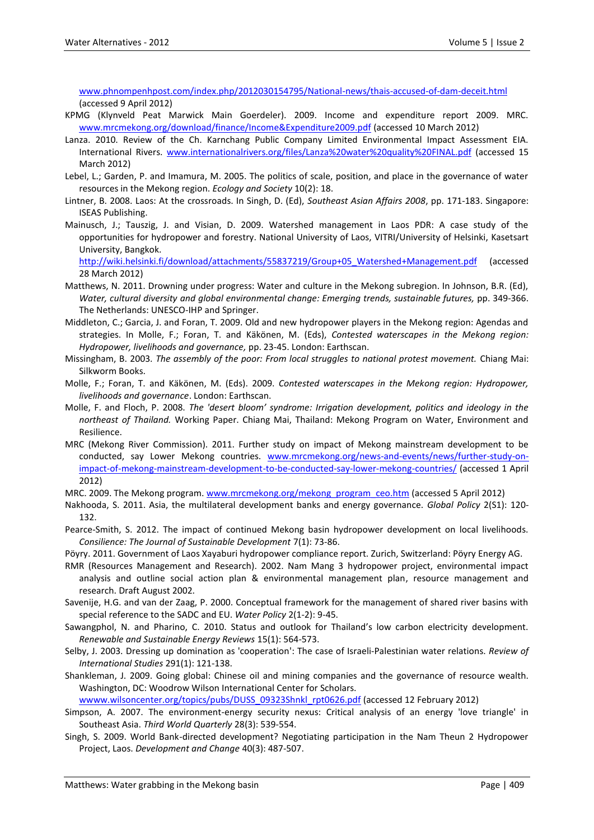[www.phnompenhpost.com/index.php/2012030154795/National-news/thais-accused-of-dam-deceit.html](http://www.phnompenhpost.com/index.php/2012030154795/National-news/thais-accused-of-dam-deceit.html) (accessed 9 April 2012)

- KPMG (Klynveld Peat Marwick Main Goerdeler). 2009. Income and expenditure report 2009. MRC. [www.mrcmekong.org/download/finance/Income&Expenditure2009.pdf](http://www.mrcmekong.org/download/finance/Income&Expenditure2009.pdf) (accessed 10 March 2012)
- Lanza. 2010. Review of the Ch. Karnchang Public Company Limited Environmental Impact Assessment EIA. International Rivers. [www.internationalrivers.org/files/Lanza%20water%20quality%20FINAL.pdf](http://www.internationalrivers.org/files/Lanza%20water%20quality%20FINAL.pdf) (accessed 15 March 2012)
- Lebel, L.; Garden, P. and Imamura, M. 2005. The politics of scale, position, and place in the governance of water resources in the Mekong region. *Ecology and Society* 10(2): 18.
- Lintner, B. 2008. Laos: At the crossroads. In Singh, D. (Ed), *Southeast Asian Affairs 2008*, pp. 171-183. Singapore: ISEAS Publishing.
- Mainusch, J.; Tauszig, J. and Visian, D. 2009. Watershed management in Laos PDR: A case study of the opportunities for hydropower and forestry. National University of Laos, VITRI/University of Helsinki, Kasetsart University, Bangkok.

[http://wiki.helsinki.fi/download/attachments/55837219/Group+05\\_Watershed+Management.pdf](http://wiki.helsinki.fi/download/attachments/55837219/Group+05_Watershed+Management.pdf) (accessed 28 March 2012)

- Matthews, N. 2011. Drowning under progress: Water and culture in the Mekong subregion. In Johnson, B.R. (Ed), *Water, cultural diversity and global environmental change: Emerging trends, sustainable futures,* pp. 349-366. The Netherlands: UNESCO-IHP and Springer.
- Middleton, C.; Garcia, J. and Foran, T. 2009. Old and new hydropower players in the Mekong region: Agendas and strategies. In Molle, F.; Foran, T. and Käkönen, M. (Eds), *Contested waterscapes in the Mekong region: Hydropower, livelihoods and governance,* pp. 23-45. London: Earthscan.
- Missingham, B. 2003. *The assembly of the poor: From local struggles to national protest movement.* Chiang Mai: Silkworm Books.
- Molle, F.; Foran, T. and Käkönen, M. (Eds). 2009. *Contested waterscapes in the Mekong region: Hydropower, livelihoods and governance*. London: Earthscan.
- Molle, F. and Floch, P. 2008. *The 'desert bloom' syndrome: Irrigation development, politics and ideology in the northeast of Thailand.* Working Paper. Chiang Mai, Thailand: Mekong Program on Water, Environment and Resilience.
- MRC (Mekong River Commission). 2011. Further study on impact of Mekong mainstream development to be conducted, say Lower Mekong countries. [www.mrcmekong.org/news-and-events/news/further-study-on](http://www.mrcmekong.org/news-and-events/news/further-study-on-impact-of-mekong-mainstream-development-to-be-conducted-say-lower-mekong-countries/)[impact-of-mekong-mainstream-development-to-be-conducted-say-lower-mekong-countries/](http://www.mrcmekong.org/news-and-events/news/further-study-on-impact-of-mekong-mainstream-development-to-be-conducted-say-lower-mekong-countries/) (accessed 1 April 2012)
- MRC. 2009. The Mekong program. [www.mrcmekong.org/mekong\\_program\\_ceo.htm](http://www.mrcmekong.org/mekong_program_ceo.htm) (accessed 5 April 2012)
- Nakhooda, S. 2011. Asia, the multilateral development banks and energy governance. *Global Policy* 2(S1): 120- 132.
- Pearce-Smith, S. 2012. The impact of continued Mekong basin hydropower development on local livelihoods. *Consilience: The Journal of Sustainable Development* 7(1): 73-86.
- Pöyry. 2011. Government of Laos Xayaburi hydropower compliance report. Zurich, Switzerland: Pöyry Energy AG.
- RMR (Resources Management and Research). 2002. Nam Mang 3 hydropower project, environmental impact analysis and outline social action plan & environmental management plan, resource management and research. Draft August 2002.
- Savenije, H.G. and van der Zaag, P. 2000. Conceptual framework for the management of shared river basins with special reference to the SADC and EU. *Water Policy* 2(1-2): 9-45.
- Sawangphol, N. and Pharino, C. 2010. Status and outlook for Thailand's low carbon electricity development. *Renewable and Sustainable Energy Reviews* 15(1): 564-573.
- Selby, J. 2003. Dressing up domination as 'cooperation': The case of Israeli-Palestinian water relations. *Review of International Studies* 291(1): 121-138.
- Shankleman, J. 2009. Going global: Chinese oil and mining companies and the governance of resource wealth. Washington, DC: Woodrow Wilson International Center for Scholars.

[wwww.wilsoncenter.org/topics/pubs/DUSS\\_09323Shnkl\\_rpt0626.pdf](../../AppData/Wdoc/Water%20alternatives/CURRENT%20ISSUE/Special%20issue%20Water%20Grabbing/wwww.wilsoncenter.org/topics/pubs/DUSS_09323Shnkl_rpt0626.pdf) (accessed 12 February 2012)

- Simpson, A. 2007. The environment-energy security nexus: Critical analysis of an energy 'love triangle' in Southeast Asia. *Third World Quarterly* 28(3): 539-554.
- Singh, S. 2009. World Bank-directed development? Negotiating participation in the Nam Theun 2 Hydropower Project, Laos. *Development and Change* 40(3): 487-507.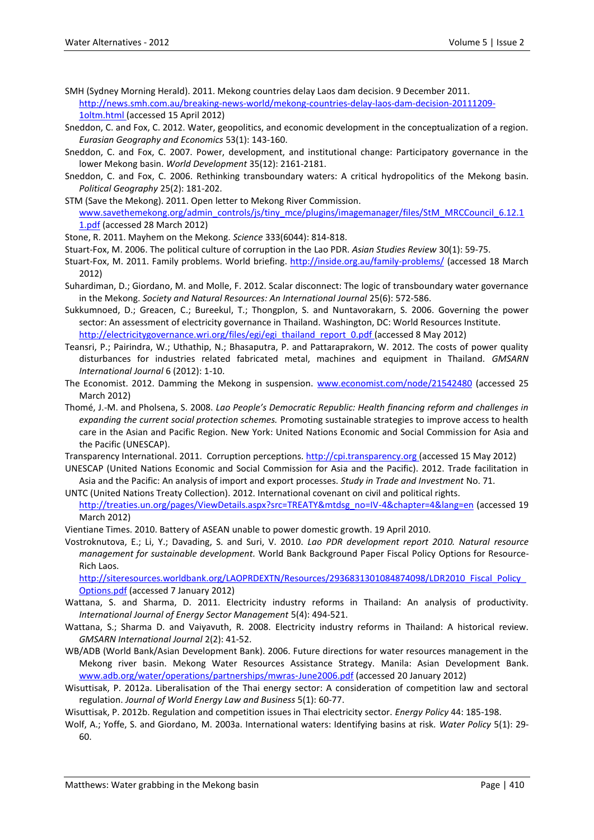- SMH (Sydney Morning Herald). 2011. Mekong countries delay Laos dam decision. 9 December 2011. [http://news.smh.com.au/breaking-news-world/mekong-countries-delay-laos-dam-decision-20111209-](http://news.smh.com.au/breaking-news-world/mekong-countries-delay-laos-dam-decision-20111209-1oltm.html) [1oltm.html](http://news.smh.com.au/breaking-news-world/mekong-countries-delay-laos-dam-decision-20111209-1oltm.html) (accessed 15 April 2012)
- Sneddon, C. and Fox, C. 2012. Water, geopolitics, and economic development in the conceptualization of a region. *Eurasian Geography and Economics* 53(1): 143-160.
- Sneddon, C. and Fox, C. 2007. Power, development, and institutional change: Participatory governance in the lower Mekong basin. *World Development* 35(12): 2161-2181.
- Sneddon, C. and Fox, C. 2006. Rethinking transboundary waters: A critical hydropolitics of the Mekong basin. *Political Geography* 25(2): 181-202.
- STM (Save the Mekong). 2011. Open letter to Mekong River Commission. [www.savethemekong.org/admin\\_controls/js/tiny\\_mce/plugins/imagemanager/files/StM\\_MRCCouncil\\_6.12.1](http://www.savethemekong.org/admin_controls/js/tiny_mce/plugins/imagemanager/files/StM_MRCCouncil_6.12.11.pdf) [1.pdf](http://www.savethemekong.org/admin_controls/js/tiny_mce/plugins/imagemanager/files/StM_MRCCouncil_6.12.11.pdf) (accessed 28 March 2012)
- Stone, R. 2011. Mayhem on the Mekong. *Science* 333(6044): 814-818.
- Stuart-Fox, M. 2006. The political culture of corruption in the Lao PDR. *Asian Studies Review* 30(1): 59-75.
- Stuart-Fox, M. 2011. Family problems. World briefing.<http://inside.org.au/family-problems/> (accessed 18 March 2012)
- Suhardiman, D.; Giordano, M. and Molle, F. 2012. Scalar disconnect: The logic of transboundary water governance in the Mekong. *Society and Natural Resources: An International Journal* 25(6): 572-586.
- Sukkumnoed, D.; Greacen, C.; Bureekul, T.; Thongplon, S. and Nuntavorakarn, S. 2006. Governing the power sector: An assessment of electricity governance in Thailand. Washington, DC: World Resources Institute. [http://electricitygovernance.wri.org/files/egi/egi\\_thailand\\_report\\_0.pdf](http://electricitygovernance.wri.org/files/egi/egi_thailand_report_0.pdf) (accessed 8 May 2012)
- Teansri, P.; Pairindra, W.; Uthathip, N.; Bhasaputra, P. and Pattaraprakorn, W. 2012. The costs of power quality disturbances for industries related fabricated metal, machines and equipment in Thailand. *GMSARN International Journal* 6 (2012): 1-10.
- The Economist. 2012. Damming the Mekong in suspension. [www.economist.com/node/21542480](http://www.economist.com/node/21542480) (accessed 25 March 2012)
- Thomé, J.-M. and Pholsena, S. 2008. *Lao People's Democratic Republic: Health financing reform and challenges in expanding the current social protection schemes.* Promoting sustainable strategies to improve access to health care in the Asian and Pacific Region. New York: United Nations Economic and Social Commission for Asia and the Pacific (UNESCAP).

Transparency International. 2011. Corruption perceptions. [http://cpi.transparency.org](http://cpi.transparency.org/) (accessed 15 May 2012)

UNESCAP (United Nations Economic and Social Commission for Asia and the Pacific). 2012. Trade facilitation in Asia and the Pacific: An analysis of import and export processes. *Study in Trade and Investment* No. 71.

- UNTC (United Nations Treaty Collection). 2012. International covenant on civil and political rights. [http://treaties.un.org/pages/ViewDetails.aspx?src=TREATY&mtdsg\\_no=IV-4&chapter=4&lang=en](http://treaties.un.org/pages/ViewDetails.aspx?src=TREATY&mtdsg_no=IV-4&chapter=4&lang=en) (accessed 19 March 2012)
- Vientiane Times. 2010. Battery of ASEAN unable to power domestic growth. 19 April 2010.
- Vostroknutova, E.; Li, Y.; Davading, S. and Suri, V. 2010. *Lao PDR development report 2010. Natural resource management for sustainable development.* World Bank Background Paper Fiscal Policy Options for Resource-Rich Laos.

[http://siteresources.worldbank.org/LAOPRDEXTN/Resources/2936831301084874098/LDR2010\\_Fiscal\\_Policy\\_](http://siteresources.worldbank.org/LAOPRDEXTN/Resources/2936831301084874098/LDR2010_Fiscal_Policy_Options.pdf) [Options.pdf](http://siteresources.worldbank.org/LAOPRDEXTN/Resources/2936831301084874098/LDR2010_Fiscal_Policy_Options.pdf) (accessed 7 January 2012)

- Wattana, S. and Sharma, D. 2011. Electricity industry reforms in Thailand: An analysis of productivity. *International Journal of Energy Sector Management* 5(4): 494-521.
- Wattana, S.; Sharma D. and Vaiyavuth, R. 2008. Electricity industry reforms in Thailand: A historical review. *GMSARN International Journal* 2(2): 41-52.
- WB/ADB (World Bank/Asian Development Bank). 2006. Future directions for water resources management in the Mekong river basin. Mekong Water Resources Assistance Strategy. Manila: Asian Development Bank. [www.adb.org/water/operations/partnerships/mwras](http://www.adb.org/water/operations/partnerships/mwras?June2006.pdf)‐June2006.pdf (accessed 20 January 2012)
- Wisuttisak, P. 2012a. Liberalisation of the Thai energy sector: A consideration of competition law and sectoral regulation. *Journal of World Energy Law and Business* 5(1): 60-77.

Wisuttisak, P. 2012b. Regulation and competition issues in Thai electricity sector. *Energy Policy* 44: 185-198.

Wolf, A.; Yoffe, S. and Giordano, M. 2003a. International waters: Identifying basins at risk. *Water Policy* 5(1): 29- 60.